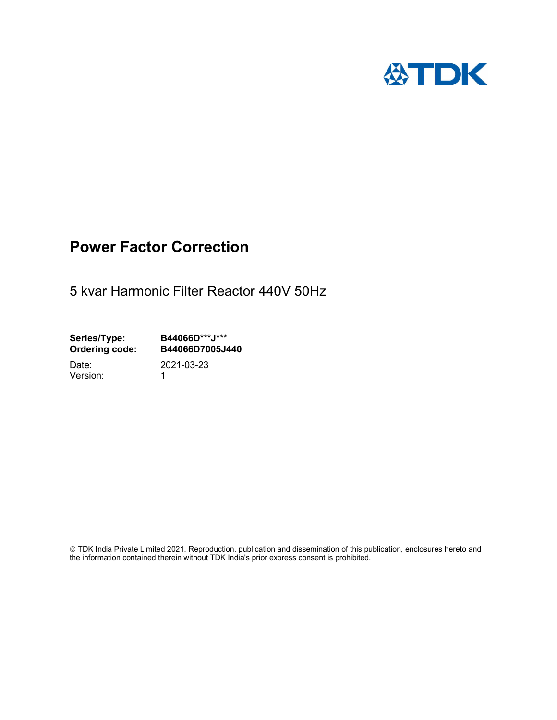

## Power Factor Correction

5 kvar Harmonic Filter Reactor 440V 50Hz

Series/Type: B44066D\*\*\*J\*\*\*<br>Ordering code: B44066D7005J4 B44066D7005J440

Version: 1

Date: 2021-03-23

 TDK India Private Limited 2021. Reproduction, publication and dissemination of this publication, enclosures hereto and the information contained therein without TDK India's prior express consent is prohibited.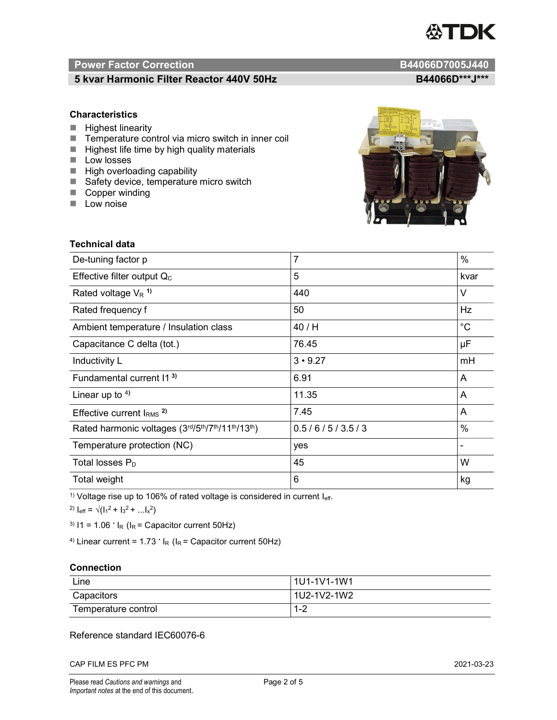# TDK

### Power Factor Correction and Content of Content of Content of Content of Content of Content of Content of Content of Content of Content of Content of Content of Content of Content of Content of Content of Content of Content

#### 5 kvar Harmonic Filter Reactor 440V 50Hz B44066D\*\*\*J\*\*\*

#### **Characteristics**

- $\blacksquare$  Highest linearity
- Temperature control via micro switch in inner coil
- $\blacksquare$  Highest life time by high quality materials
- **Low losses**
- $\blacksquare$  High overloading capability
- Safety device, temperature micro switch
- Copper winding
- **Low noise**



| <b>Technical data</b>                           |                |             |  |
|-------------------------------------------------|----------------|-------------|--|
| De-tuning factor p                              | $\overline{7}$ | %           |  |
| Effective filter output $Q_C$                   | 5              | kvar        |  |
| Rated voltage $V_R$ <sup>1)</sup>               | 440            | V           |  |
| Rated frequency f                               | 50             | Hz          |  |
| Ambient temperature / Insulation class          | 40 / H         | $^{\circ}C$ |  |
| Capacitance C delta (tot.)                      | 76.45          | μF          |  |
| Inductivity L                                   | $3 \cdot 9.27$ | mH          |  |
| Fundamental current 11 <sup>3)</sup>            | 6.91           | A           |  |
| Linear up to $4$ )                              | 11.35          | A           |  |
| Effective current $IRMS$ <sup>2)</sup>          | 7.45           | Α           |  |
| Rated harmonic voltages (3rd/5th/7th/11th/13th) | 0.5/6/5/3.5/3  | %           |  |
| Temperature protection (NC)                     | yes            |             |  |
| Total losses $P_D$                              | 45             | W           |  |
| Total weight                                    | $6\phantom{1}$ | kg          |  |

<sup>1)</sup> Voltage rise up to 106% of rated voltage is considered in current  $I_{\text{eff}}$ .

<sup>2)</sup>  $I_{eff} = \sqrt{(I_1^2 + I_3^2 + ... I_x^2)}$ 

<sup>3)</sup>  $11 = 1.06$   $\cdot$   $I_R$  ( $I_R$  = Capacitor current 50Hz)

<sup>4)</sup> Linear current =  $1.73$   $\cdot$  I<sub>R</sub> (I<sub>R</sub> = Capacitor current 50Hz)

#### **Connection**

| Line                | l 1U1-1V1-1W1       |
|---------------------|---------------------|
| Capacitors          | l 1U2-1V2-1W2       |
| Temperature control | <u> 4 ຕ</u><br>ے- ا |

#### Reference standard IEC60076-6

CAP FILM ES PFC PM 2021-03-23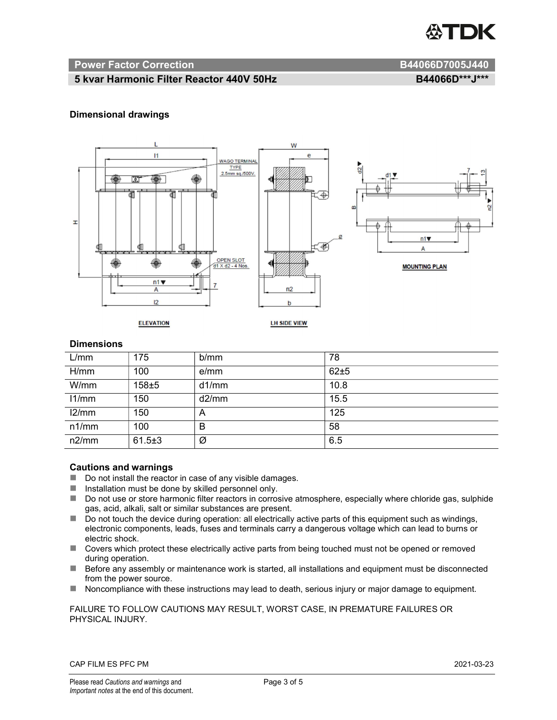

#### Power Factor Correction and B44066D7005J440

#### 5 kvar Harmonic Filter Reactor 440V 50Hz BA4066D\*\*\*J\*\*\* B44066D\*\*\*J\*\*\*

#### Dimensional drawings



#### **Dimensions**

| L/mm  | 175          | b/mm  | 78   |
|-------|--------------|-------|------|
| H/mm  | 100          | e/mm  | 62±5 |
| W/mm  | $158 \pm 5$  | d1/mm | 10.8 |
| 11/mm | 150          | d2/mm | 15.5 |
| 12/mm | 150          | A     | 125  |
| n1/mm | 100          | B     | 58   |
| n2/mm | $61.5 \pm 3$ | Ø     | 6.5  |

#### Cautions and warnings

- Do not install the reactor in case of any visible damages.
- $\blacksquare$  Installation must be done by skilled personnel only.
- Do not use or store harmonic filter reactors in corrosive atmosphere, especially where chloride gas, sulphide gas, acid, alkali, salt or similar substances are present.
- $\Box$  Do not touch the device during operation: all electrically active parts of this equipment such as windings, electronic components, leads, fuses and terminals carry a dangerous voltage which can lead to burns or electric shock.
- Covers which protect these electrically active parts from being touched must not be opened or removed during operation.
- Before any assembly or maintenance work is started, all installations and equipment must be disconnected from the power source.
- Noncompliance with these instructions may lead to death, serious injury or major damage to equipment.

#### FAILURE TO FOLLOW CAUTIONS MAY RESULT, WORST CASE, IN PREMATURE FAILURES OR PHYSICAL INJURY.

#### CAP FILM ES PFC PM 2021-03-23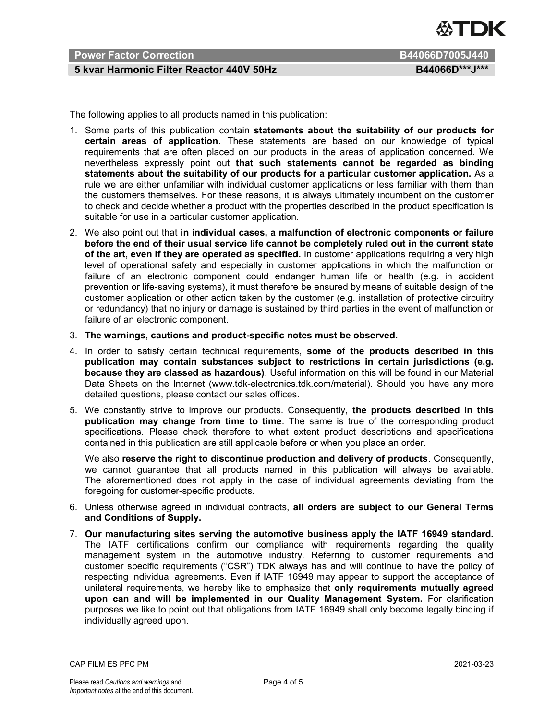

#### Power Factor Correction **B44066D7005J440**

#### 5 kvar Harmonic Filter Reactor 440V 50Hz BA4066D\*\*\*J\*\*\*

The following applies to all products named in this publication:

- 1. Some parts of this publication contain statements about the suitability of our products for certain areas of application. These statements are based on our knowledge of typical requirements that are often placed on our products in the areas of application concerned. We nevertheless expressly point out that such statements cannot be regarded as binding statements about the suitability of our products for a particular customer application. As a rule we are either unfamiliar with individual customer applications or less familiar with them than the customers themselves. For these reasons, it is always ultimately incumbent on the customer to check and decide whether a product with the properties described in the product specification is suitable for use in a particular customer application.
- 2. We also point out that in individual cases, a malfunction of electronic components or failure before the end of their usual service life cannot be completely ruled out in the current state of the art, even if they are operated as specified. In customer applications requiring a very high level of operational safety and especially in customer applications in which the malfunction or failure of an electronic component could endanger human life or health (e.g. in accident prevention or life-saving systems), it must therefore be ensured by means of suitable design of the customer application or other action taken by the customer (e.g. installation of protective circuitry or redundancy) that no injury or damage is sustained by third parties in the event of malfunction or failure of an electronic component.
- 3. The warnings, cautions and product-specific notes must be observed.
- 4. In order to satisfy certain technical requirements, some of the products described in this publication may contain substances subject to restrictions in certain jurisdictions (e.g. because they are classed as hazardous). Useful information on this will be found in our Material Data Sheets on the Internet (www.tdk-electronics.tdk.com/material). Should you have any more detailed questions, please contact our sales offices.
- 5. We constantly strive to improve our products. Consequently, the products described in this publication may change from time to time. The same is true of the corresponding product specifications. Please check therefore to what extent product descriptions and specifications contained in this publication are still applicable before or when you place an order.

We also reserve the right to discontinue production and delivery of products. Consequently, we cannot guarantee that all products named in this publication will always be available. The aforementioned does not apply in the case of individual agreements deviating from the foregoing for customer-specific products.

- 6. Unless otherwise agreed in individual contracts, all orders are subject to our General Terms and Conditions of Supply.
- 7. Our manufacturing sites serving the automotive business apply the IATF 16949 standard. The IATF certifications confirm our compliance with requirements regarding the quality management system in the automotive industry. Referring to customer requirements and customer specific requirements ("CSR") TDK always has and will continue to have the policy of respecting individual agreements. Even if IATF 16949 may appear to support the acceptance of unilateral requirements, we hereby like to emphasize that only requirements mutually agreed upon can and will be implemented in our Quality Management System. For clarification purposes we like to point out that obligations from IATF 16949 shall only become legally binding if individually agreed upon.